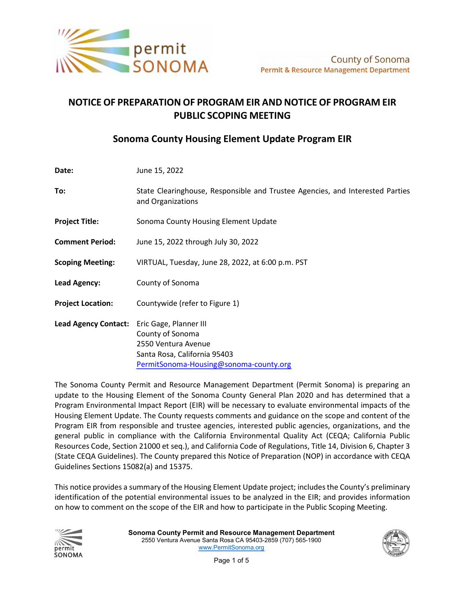

# **NOTICE OF PREPARATION OF PROGRAM EIR AND NOTICE OF PROGRAM EIR PUBLIC SCOPING MEETING**

## **Sonoma County Housing Element Update Program EIR**

| Date:                       | June 15, 2022                                                                                                                               |
|-----------------------------|---------------------------------------------------------------------------------------------------------------------------------------------|
| To:                         | State Clearinghouse, Responsible and Trustee Agencies, and Interested Parties<br>and Organizations                                          |
| <b>Project Title:</b>       | Sonoma County Housing Element Update                                                                                                        |
| <b>Comment Period:</b>      | June 15, 2022 through July 30, 2022                                                                                                         |
| <b>Scoping Meeting:</b>     | VIRTUAL, Tuesday, June 28, 2022, at 6:00 p.m. PST                                                                                           |
| Lead Agency:                | County of Sonoma                                                                                                                            |
| <b>Project Location:</b>    | Countywide (refer to Figure 1)                                                                                                              |
| <b>Lead Agency Contact:</b> | Eric Gage, Planner III<br>County of Sonoma<br>2550 Ventura Avenue<br>Santa Rosa, California 95403<br>PermitSonoma-Housing@sonoma-county.org |

The Sonoma County Permit and Resource Management Department (Permit Sonoma) is preparing an update to the Housing Element of the Sonoma County General Plan 2020 and has determined that a Program Environmental Impact Report (EIR) will be necessary to evaluate environmental impacts of the Housing Element Update. The County requests comments and guidance on the scope and content of the Program EIR from responsible and trustee agencies, interested public agencies, organizations, and the general public in compliance with the California Environmental Quality Act (CEQA; California Public Resources Code, Section 21000 et seq.), and California Code of Regulations, Title 14, Division 6, Chapter 3 (State CEQA Guidelines). The County prepared this Notice of Preparation (NOP) in accordance with CEQA Guidelines Sections 15082(a) and 15375.

This notice provides a summary of the Housing Element Update project; includes the County's preliminary identification of the potential environmental issues to be analyzed in the EIR; and provides information on how to comment on the scope of the EIR and how to participate in the Public Scoping Meeting.



**Sonoma County Permit and Resource Management Department** 2550 Ventura Avenue Santa Rosa CA 95403-2859 (707) 565-1900 [www.PermitSonoma.org](http://www.permitsonoma.org/)

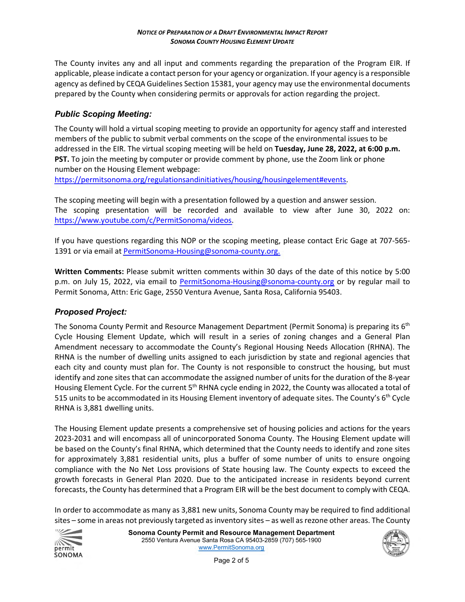The County invites any and all input and comments regarding the preparation of the Program EIR. If applicable, please indicate a contact person for your agency or organization. If your agency is a responsible agency as defined by CEQA Guidelines Section 15381, your agency may use the environmental documents prepared by the County when considering permits or approvals for action regarding the project.

### *Public Scoping Meeting:*

The County will hold a virtual scoping meeting to provide an opportunity for agency staff and interested members of the public to submit verbal comments on the scope of the environmental issues to be addressed in the EIR. The virtual scoping meeting will be held on **Tuesday, June 28, 2022, at 6:00 p.m. PST.** To join the meeting by computer or provide comment by phone, use the Zoom link or phone number on the Housing Element webpage:

[https://permitsonoma.org/regulationsandinitiatives/housing/housingelement#events.](https://permitsonoma.org/regulationsandinitiatives/housing/housingelement%23events)

The scoping meeting will begin with a presentation followed by a question and answer session. The scoping presentation will be recorded and available to view after June 30, 2022 on: [https://www.youtube.com/c/PermitSonoma/videos.](https://www.youtube.com/c/PermitSonoma/videos)

If you have questions regarding this NOP or the scoping meeting, please contact Eric Gage at 707-565- 1391 or via email at PermitSonoma-Housing@sonoma-county.org.

**Written Comments:** Please submit written comments within 30 days of the date of this notice by 5:00 p.m. on July 15, 2022, via email to [PermitSonoma-Housing@sonoma-county.org](mailto:PermitSonoma-Housing@sonoma-county.org) or by regular mail to Permit Sonoma, Attn: Eric Gage, 2550 Ventura Avenue, Santa Rosa, California 95403.

#### *Proposed Project:*

The Sonoma County Permit and Resource Management Department (Permit Sonoma) is preparing its 6<sup>th</sup> Cycle Housing Element Update, which will result in a series of zoning changes and a General Plan Amendment necessary to accommodate the County's Regional Housing Needs Allocation (RHNA). The RHNA is the number of dwelling units assigned to each jurisdiction by state and regional agencies that each city and county must plan for. The County is not responsible to construct the housing, but must identify and zone sites that can accommodate the assigned number of units for the duration of the 8-year Housing Element Cycle. For the current 5<sup>th</sup> RHNA cycle ending in 2022, the County was allocated a total of 515 units to be accommodated in its Housing Element inventory of adequate sites. The County's 6th Cycle RHNA is 3,881 dwelling units.

The Housing Element update presents a comprehensive set of housing policies and actions for the years 2023-2031 and will encompass all of unincorporated Sonoma County. The Housing Element update will be based on the County's final RHNA, which determined that the County needs to identify and zone sites for approximately 3,881 residential units, plus a buffer of some number of units to ensure ongoing compliance with the No Net Loss provisions of State housing law. The County expects to exceed the growth forecasts in General Plan 2020. Due to the anticipated increase in residents beyond current forecasts, the County has determined that a Program EIR will be the best document to comply with CEQA.

In order to accommodate as many as 3,881 new units, Sonoma County may be required to find additional sites – some in areas not previously targeted as inventory sites – as well as rezone other areas. The County



**Sonoma County Permit and Resource Management Department** 2550 Ventura Avenue Santa Rosa CA 95403-2859 (707) 565-1900 [www.PermitSonoma.org](http://www.permitsonoma.org/)

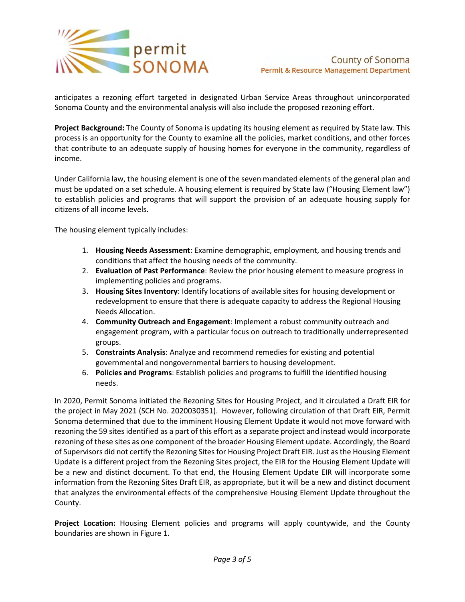

anticipates a rezoning effort targeted in designated Urban Service Areas throughout unincorporated Sonoma County and the environmental analysis will also include the proposed rezoning effort.

**Project Background:** The County of Sonoma is updating its housing element as required by State law. This process is an opportunity for the County to examine all the policies, market conditions, and other forces that contribute to an adequate supply of housing homes for everyone in the community, regardless of income.

Under California law, the housing element is one of the seven mandated elements of the general plan and must be updated on a set schedule. A housing element is required by State law ("Housing Element law") to establish policies and programs that will support the provision of an adequate housing supply for citizens of all income levels.

The housing element typically includes:

- 1. **Housing Needs Assessment**: Examine demographic, employment, and housing trends and conditions that affect the housing needs of the community.
- 2. **Evaluation of Past Performance**: Review the prior housing element to measure progress in implementing policies and programs.
- 3. **Housing Sites Inventory**: Identify locations of available sites for housing development or redevelopment to ensure that there is adequate capacity to address the Regional Housing Needs Allocation.
- 4. **Community Outreach and Engagement**: Implement a robust community outreach and engagement program, with a particular focus on outreach to traditionally underrepresented groups.
- 5. **Constraints Analysis**: Analyze and recommend remedies for existing and potential governmental and nongovernmental barriers to housing development.
- 6. **Policies and Programs**: Establish policies and programs to fulfill the identified housing needs.

In 2020, Permit Sonoma initiated the Rezoning Sites for Housing Project, and it circulated a Draft EIR for the project in May 2021 (SCH No. 2020030351). However, following circulation of that Draft EIR, Permit Sonoma determined that due to the imminent Housing Element Update it would not move forward with rezoning the 59 sites identified as a part of this effort as a separate project and instead would incorporate rezoning of these sites as one component of the broader Housing Element update. Accordingly, the Board of Supervisors did not certify the Rezoning Sites for Housing Project Draft EIR. Just as the Housing Element Update is a different project from the Rezoning Sites project, the EIR for the Housing Element Update will be a new and distinct document. To that end, the Housing Element Update EIR will incorporate some information from the Rezoning Sites Draft EIR, as appropriate, but it will be a new and distinct document that analyzes the environmental effects of the comprehensive Housing Element Update throughout the County.

**Project Location:** Housing Element policies and programs will apply countywide, and the County boundaries are shown in Figure 1.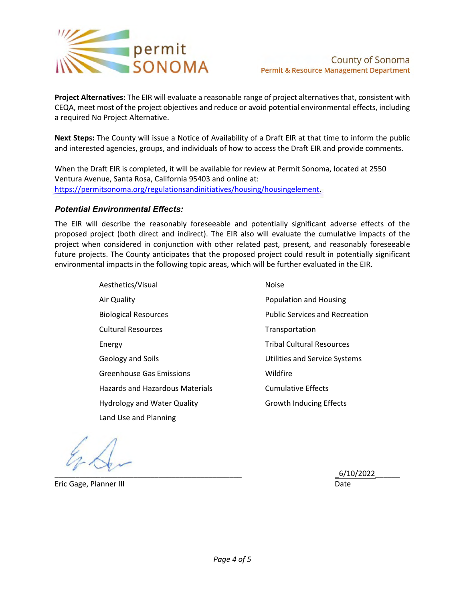

**Project Alternatives:** The EIR will evaluate a reasonable range of project alternatives that, consistent with CEQA, meet most of the project objectives and reduce or avoid potential environmental effects, including a required No Project Alternative.

**Next Steps:** The County will issue a Notice of Availability of a Draft EIR at that time to inform the public and interested agencies, groups, and individuals of how to access the Draft EIR and provide comments.

When the Draft EIR is completed, it will be available for review at Permit Sonoma, located at 2550 Ventura Avenue, Santa Rosa, California 95403 and online at: [https://permitsonoma.org/regulationsandinitiatives/housing/housingelement.](https://permitsonoma.org/regulationsandinitiatives/housing/housingelement)

### *Potential Environmental Effects:*

The EIR will describe the reasonably foreseeable and potentially significant adverse effects of the proposed project (both direct and indirect). The EIR also will evaluate the cumulative impacts of the project when considered in conjunction with other related past, present, and reasonably foreseeable future projects. The County anticipates that the proposed project could result in potentially significant environmental impacts in the following topic areas, which will be further evaluated in the EIR.

> Aesthetics/Visual Air Quality Biological Resources Cultural Resources Energy Geology and Soils Greenhouse Gas Emissions Hazards and Hazardous Materials Hydrology and Water Quality Land Use and Planning Noise Population and Housing Public Services and Recreation Transportation Tribal Cultural Resources Utilities and Service Systems Wildfire Cumulative Effects Growth Inducing Effects

 $\_6/10/2022$   $\_6/10/2022$ 

Eric Gage, Planner III Date